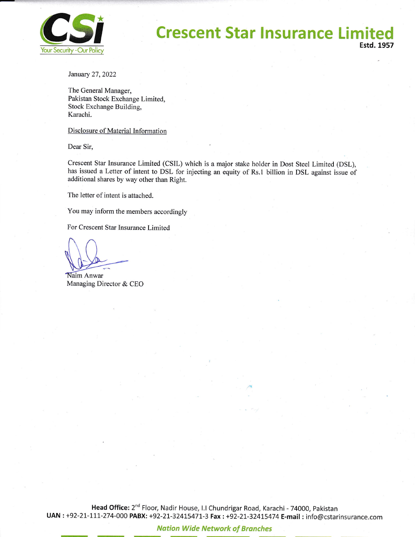

# **Crescent Star Insurance Limited Your Security - Our Policy**

January 27,2022

The General Manager, Pakistan Stock Exchange Limited, Stock Exchange Building, Karachi.

#### Disclosure of Material Information

Dear Sir,

Crescent Star Insurance Limited (CSL) which is a major stake holder in Dost Steel Limited (DSL), has issued a Letter of intent to DSL for injecting an equity of Rs.1 billion in DSL against issue of additional shares by way other than Right.

The letter of intent is attached.

You may inform the members accordingly

For Crescent Star Insurance Limited

**Naim Anwar** Managing Director & CEO

Head Office: 2<sup>nd</sup> Floor, Nadir House, I.I Chundrigar Road, Karachi - 74000, Pakistan UAN : +92-21-111-274-000 PABX: +92-21-32415471-3 Fax : +92-21-32415474 E-mail : info@cstarinsurance.com